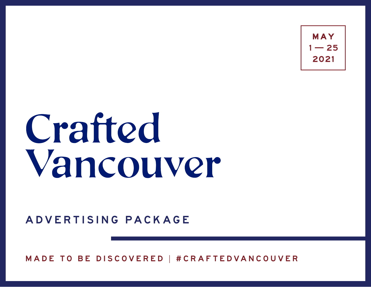$1 - 25$ 

# Crafted Vancouver

ADVERTISING PACKAGE

MADE TO BE DISCOVERED | #CRAFTEDVANCOUVER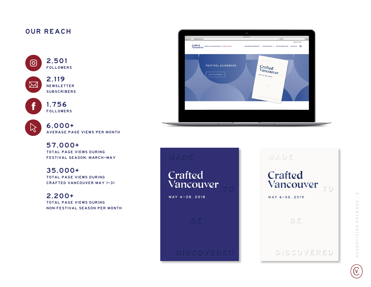### OUR REACH



2,119 **NEWSLETTER** SUBSCRIBERS



 $\boxtimes$ 

1,756 FOLLOWERS

| ŧ |  |
|---|--|
|   |  |
|   |  |

6,000+ AVERAGE PAGE VIEWS PER MONTH

57,000+ TOTAL PAGE VIEWS DURING FESTIVAL SEASON: MARCH –MAY

35,000+ TOTAL PAGE VIEWS DURING CRAFTED VANCOUVER MAY 1 –31

2,200+ TOTAL PAGE VIEWS DURING NON-FESTIVAL SEASON PER MONTH



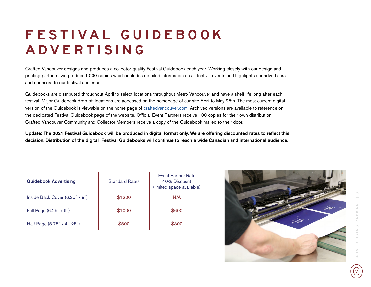# FESTIVAL GUIDEBOOK ADVERTISING

Crafted Vancouver designs and produces a collector quality Festival Guidebook each year. Working closely with our design and printing partners, we produce 5000 copies which includes detailed information on all festival events and highlights our advertisers and sponsors to our festival audience.

Guidebooks are distributed throughout April to select locations throughout Metro Vancouver and have a shelf life long after each festival. Major Guidebook drop-off locations are accessed on the homepage of our site April to May 25th. The most current digital version of the Guidebook is viewable on the home page of c[raftedvancouver.com.](http://CraftedVancouver.com) Archived versions are available to reference on the dedicated Festival Guidebook page of the website. Official Event Partners receive 100 copies for their own distribution. Crafted Vancouver Community and Collector Members receive a copy of the Guidebook mailed to their door.

Update: The 2021 Festival Guidebook will be produced in digital format only. We are offering discounted rates to reflect this decision. Distribution of the digital Festival Guidebooks will continue to reach a wide Canadian and international audience.

| <b>Guidebook Advertising</b>   | <b>Standard Rates</b> | <b>Event Partner Rate</b><br>40% Discount<br>(limited space available) |
|--------------------------------|-----------------------|------------------------------------------------------------------------|
| Inside Back Cover (6.25" x 9") | \$1200                | N/A                                                                    |
| Full Page (6.25" x 9")         | \$1000                | \$600                                                                  |
| Half Page (5.75" x 4.125")     | \$500                 | \$300                                                                  |

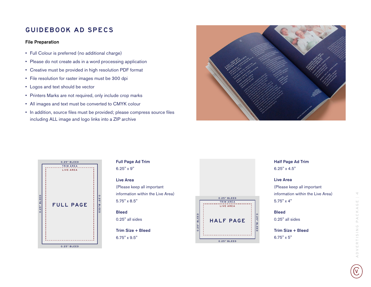## GUIDEBOOK AD SPECS

#### File Preparation

- Full Colour is preferred (no additional charge)
- Please do not create ads in a word processing application
- Creative must be provided in high resolution PDF format
- File resolution for raster images must be 300 dpi
- Logos and text should be vector
- Printers Marks are not required, only include crop marks
- All images and text must be converted to CMYK colour
- In addition, source files must be provided; please compress source files including ALL image and logo links into a ZIP archive





## Full Page Ad Trim

6.25" x 9"

#### Live Area

(Please keep all important information within the Live Area) 5.75" x 8.5"

**Bleed** 0.25" all sides

Trim Size + Bleed 6.75" x 9.5"



## Half Page Ad Trim

6.25" x 4.5"

#### Live Area

(Please keep all important information within the Live Area) 5.75" x 4"

**Bleed** 0.25" all sides

Trim Size + Bleed 6.75" x 5"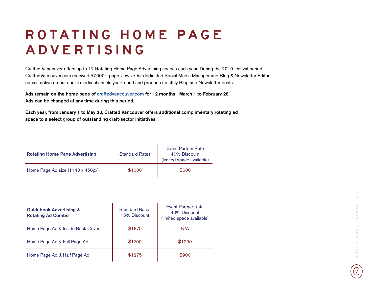# ROTATING HOME PAGE A D V E R T I S I N G

Crafted Vancouver offers up to 12 Rotating Home Page Advertising spaces each year. During the 2019 festival period CraftedVancouver.com received 57,000+ page views. Our dedicated Social Media Manager and Blog & Newsletter Editor remain active on our social media channels year-round and produce monthly Blog and Newsletter posts.

Ads remain on the home page of c[raftedvancouver.com](http://CraftedVancouver.com) for 12 months-March 1 to February 28. Ads can be changed at any time during this period.

Each year, from January 1 to May 30, Crafted Vancouver offers additional complimentary rotating ad space to a select group of outstanding craft-sector initiatives.

| <b>Rotating Home Page Advertising</b> | <b>Standard Rates</b> | <b>Event Partner Rate</b><br>40% Discount<br>(limited space available) |
|---------------------------------------|-----------------------|------------------------------------------------------------------------|
| Home Page Ad size (1140 x 450px)      | \$1000                | \$600                                                                  |

| <b>Guidebook Advertising &amp;</b><br><b>Rotating Ad Combo</b> | <b>Standard Rates</b><br>15% Discount | Event Partner Rate<br>40% Discount<br>(limited space available) |
|----------------------------------------------------------------|---------------------------------------|-----------------------------------------------------------------|
| Home Page Ad & Inside Back Cover                               | \$1870                                | N/A                                                             |
| Home Page Ad & Full Page Ad                                    | \$1700                                | \$1200                                                          |
| Home Page Ad & Half Page Ad                                    | \$1275                                | \$900                                                           |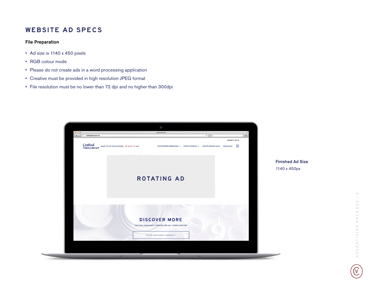#### WEBSITE AD SPECS

#### File Preparation

- Ad size is 1140 x 450 pixels
- RGB colour mode
- Please do not create ads in a word processing application
- Creative must be provided in high resolution JPEG format
- File resolution must be no lower than 72 dpi and no higher than 300dpi